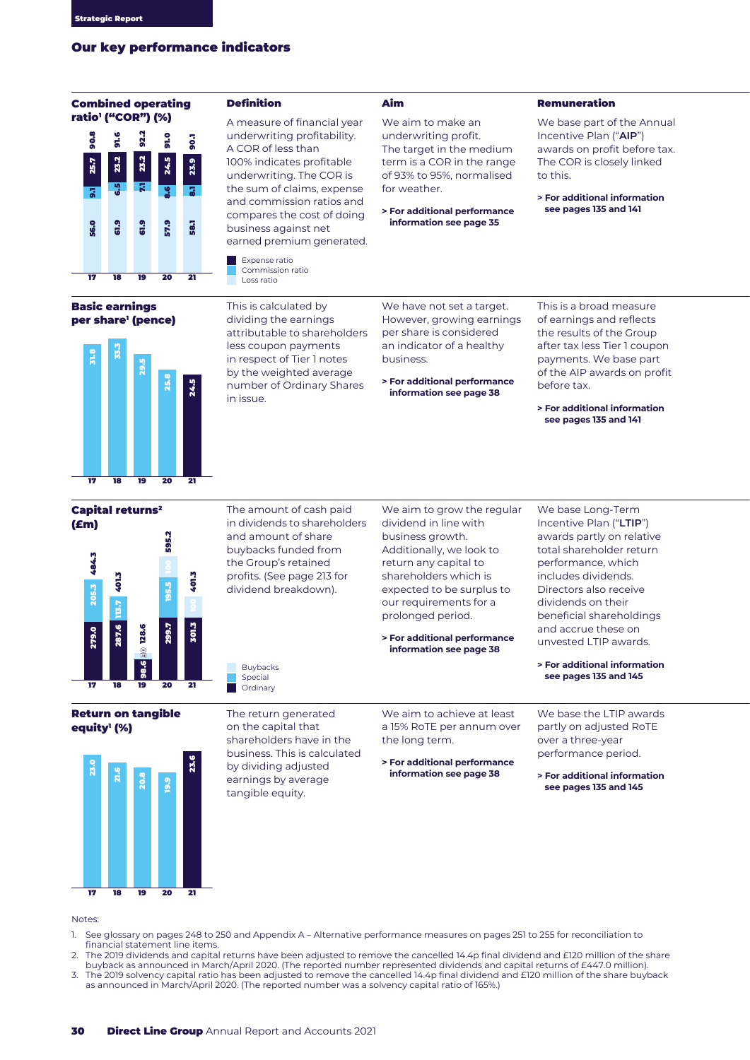# Our key performance indicators

# Combined operating



## Basic earnings per share' (pence)



# ) efinit

A measure of financial year A measure or mancial yea<br>underwriting profitability. A COR of less than A COR OFIC33 than<br>100% indicates profitable underwriting. The COR is the sum of claims, expense tne sum or claims, expense<br>and commission ratios and compares the cost of doing business against net earned premium generated. 17 18 19 20 21 25.7 9.1 6.5 23.2 8.68.1

Expense ratio Commission ratio Loss ratio

This is calculated by dividing the earnings attributable to shareholders less coupon payments in respect of Tier 1 notes by the weighted average number of Ordinary Shares in issue.

We have not set a target. However, growing earnings per share is considered an indicator of a healthy business.

**> For additional performance information see page 35**

We aim to make an underwriting profit. The target in the medium term is a COR in the range of 93% to 95%, normalised

for weather.

**> For additional performance information see page 38**

Aim **Demuneration** 

We base part of the Annual Incentive Plan ("**AIP**") awards on profit before tax. The COR is closely linked to this.

**> For additional information see pages 135 and 141**

This is a broad measure of earnings and reflects the results of the Group after tax less Tier 1 coupon payments. We base part of the AIP awards on profit before tax.

**> For additional information see pages 135 and 141**





The amount of cash paid in dividends to shareholders and amount of share buybacks funded from the Group's retained profits. (See page 213 for dividend breakdown). The amount of cash pair of cash pair of sharehood amount of sharehood from the Group's retained from the Group's retained involved the absorption of the sharehood in the sharehood in the sharehood in the sharehood in the s

We aim to grow the regular dividend in line with business growth. Additionally, we look to return any capital to shareholders which is expected to be surplus to our requirements for a prolonged period.

**> For additional performance information see page 38**

We base Long-Term Incentive Plan ("**LTIP**") awards partly on relative total shareholder return performance, which includes dividends. Directors also receive dividends on their beneficial shareholdings and accrue these on unvested LTIP awards.

**> For additional information see pages 135 and 145**

We base the LTIP awards partly on adjusted RoTE over a three-year performance period.

**> For additional information see pages 135 and 145**

## **Return on tangible** equity' (%)

Buybackson



The return generated on the capital that shareholders have in the business. This is calculated by dividing adjusted earnings by average tangible equity.

Buybacks Special Ordinary

> We aim to achieve at least a 15% RoTE per annum over the long term.

**> For additional performance information see page 38**

## Notes:

- 1. See glossary on pages 248 to 250 and Appendix A Alternative performance measures on pages 251 to 255 for reconciliation to financial statement line items.
- 2. The 2019 dividends and capital returns have been adjusted to remove the cancelled 14.4p final dividend and £120 million of the share buyback as announced in March/April 2020. (The reported number represented dividends and capital returns of £447.0 million). 3. The 2019 solvency capital ratio has been adjusted to remove the cancelled 14.4p final dividend and £120 million of the share buyback as announced in March/April 2020. (The reported number was a solvency capital ratio of 165%.)